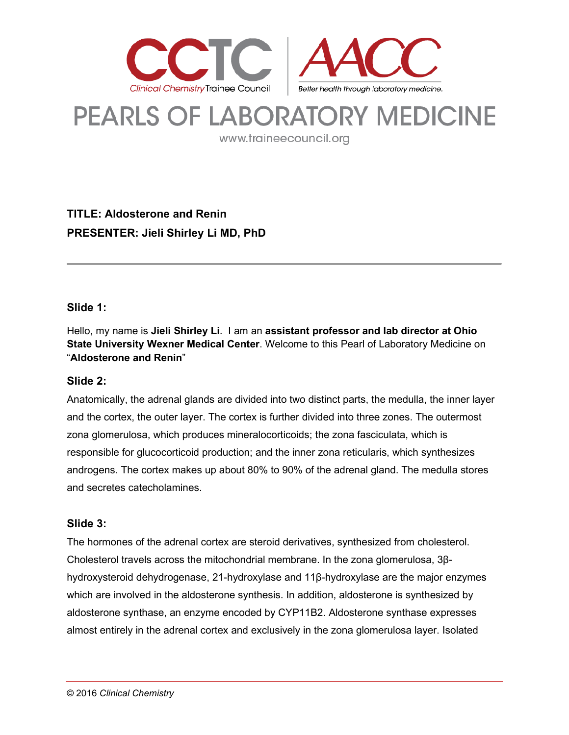

# **PEARLS OF LABORATORY MEDICINE**

www.traineecouncil.org

# **TITLE: Aldosterone and Renin PRESENTER: Jieli Shirley Li MD, PhD**

# **Slide 1:**

Hello, my name is **Jieli Shirley Li**. I am an **assistant professor and lab director at Ohio State University Wexner Medical Center**. Welcome to this Pearl of Laboratory Medicine on "**Aldosterone and Renin**"

#### **Slide 2:**

Anatomically, the adrenal glands are divided into two distinct parts, the medulla, the inner layer and the cortex, the outer layer. The cortex is further divided into three zones. The outermost zona glomerulosa, which produces mineralocorticoids; the zona fasciculata, which is responsible for glucocorticoid production; and the inner zona reticularis, which synthesizes androgens. The cortex makes up about 80% to 90% of the adrenal gland. The medulla stores and secretes catecholamines.

#### **Slide 3:**

The hormones of the adrenal cortex are steroid derivatives, synthesized from cholesterol. Cholesterol travels across the mitochondrial membrane. In the zona glomerulosa, 3βhydroxysteroid dehydrogenase, 21-hydroxylase and 11β-hydroxylase are the major enzymes which are involved in the aldosterone synthesis. In addition, aldosterone is synthesized by aldosterone synthase, an enzyme encoded by CYP11B2. Aldosterone synthase expresses almost entirely in the adrenal cortex and exclusively in the zona glomerulosa layer. Isolated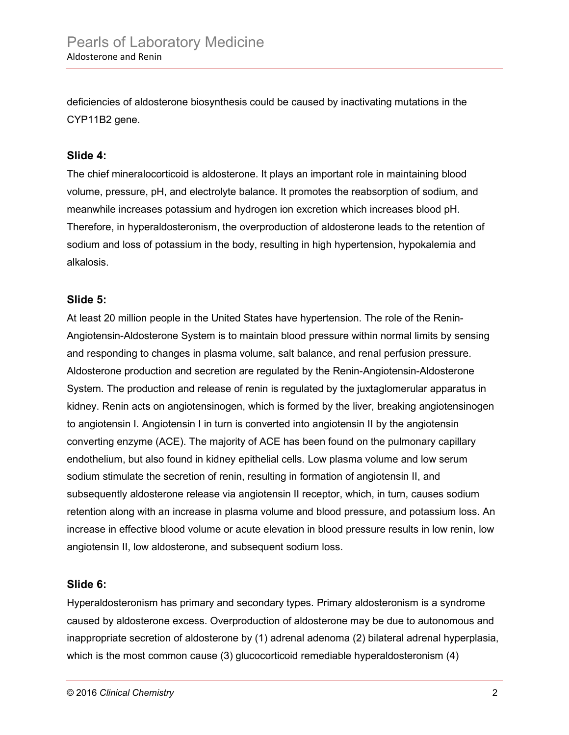deficiencies of aldosterone biosynthesis could be caused by inactivating mutations in the CYP11B2 gene.

#### **Slide 4:**

The chief mineralocorticoid is aldosterone. It plays an important role in maintaining blood volume, pressure, pH, and electrolyte balance. It promotes the reabsorption of sodium, and meanwhile increases potassium and hydrogen ion excretion which increases blood pH. Therefore, in hyperaldosteronism, the overproduction of aldosterone leads to the retention of sodium and loss of potassium in the body, resulting in high hypertension, hypokalemia and alkalosis.

#### **Slide 5:**

At least 20 million people in the United States have hypertension. The role of the Renin-Angiotensin-Aldosterone System is to maintain blood pressure within normal limits by sensing and responding to changes in plasma volume, salt balance, and renal perfusion pressure. Aldosterone production and secretion are regulated by the Renin-Angiotensin-Aldosterone System. The production and release of renin is regulated by the juxtaglomerular apparatus in kidney. Renin acts on angiotensinogen, which is formed by the liver, breaking angiotensinogen to angiotensin I. Angiotensin I in turn is converted into angiotensin II by the angiotensin converting enzyme (ACE). The majority of ACE has been found on the pulmonary capillary endothelium, but also found in kidney epithelial cells. Low plasma volume and low serum sodium stimulate the secretion of renin, resulting in formation of angiotensin II, and subsequently aldosterone release via angiotensin II receptor, which, in turn, causes sodium retention along with an increase in plasma volume and blood pressure, and potassium loss. An increase in effective blood volume or acute elevation in blood pressure results in low renin, low angiotensin II, low aldosterone, and subsequent sodium loss.

#### **Slide 6:**

Hyperaldosteronism has primary and secondary types. Primary aldosteronism is a syndrome caused by aldosterone excess. Overproduction of aldosterone may be due to autonomous and inappropriate secretion of aldosterone by (1) adrenal adenoma (2) bilateral adrenal hyperplasia, which is the most common cause (3) glucocorticoid remediable hyperaldosteronism (4)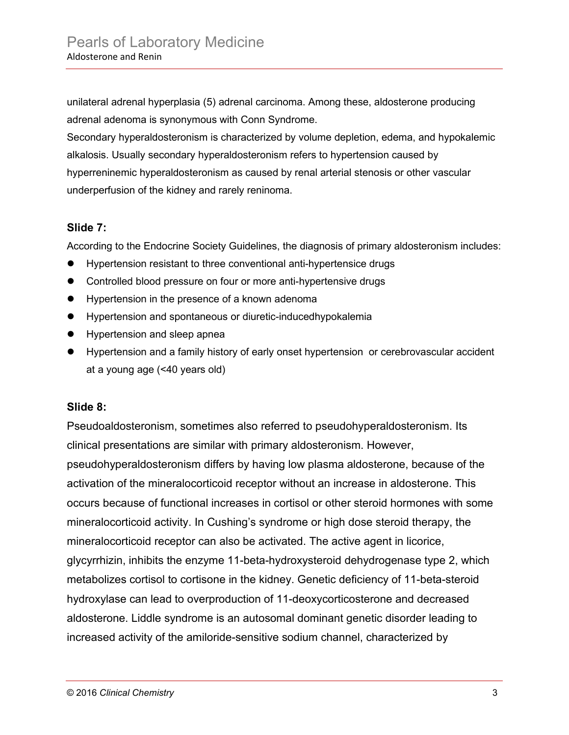unilateral adrenal hyperplasia (5) adrenal carcinoma. Among these, aldosterone producing adrenal adenoma is synonymous with Conn Syndrome.

Secondary hyperaldosteronism is characterized by volume depletion, edema, and hypokalemic alkalosis. Usually secondary hyperaldosteronism refers to hypertension caused by hyperreninemic hyperaldosteronism as caused by renal arterial stenosis or other vascular underperfusion of the kidney and rarely reninoma.

# **Slide 7:**

According to the Endocrine Society Guidelines, the diagnosis of primary aldosteronism includes:

- Hypertension resistant to three conventional anti-hypertensice drugs
- Controlled blood pressure on four or more anti-hypertensive drugs
- Hypertension in the presence of a known adenoma
- Hypertension and spontaneous or diuretic-inducedhypokalemia
- **•** Hypertension and sleep apnea
- Hypertension and a family history of early onset hypertension or cerebrovascular accident at a young age (<40 years old)

#### **Slide 8:**

Pseudoaldosteronism, sometimes also referred to pseudohyperaldosteronism. Its clinical presentations are similar with primary aldosteronism. However, pseudohyperaldosteronism differs by having low plasma aldosterone, because of the activation of the mineralocorticoid receptor without an increase in aldosterone. This occurs because of functional increases in cortisol or other steroid hormones with some mineralocorticoid activity. In Cushing's syndrome or high dose steroid therapy, the mineralocorticoid receptor can also be activated. The active agent in licorice, glycyrrhizin, inhibits the enzyme 11-beta-hydroxysteroid dehydrogenase type 2, which metabolizes cortisol to cortisone in the kidney. Genetic deficiency of 11-beta-steroid hydroxylase can lead to overproduction of 11-deoxycorticosterone and decreased aldosterone. Liddle syndrome is an autosomal dominant genetic disorder leading to increased activity of the amiloride-sensitive sodium channel, characterized by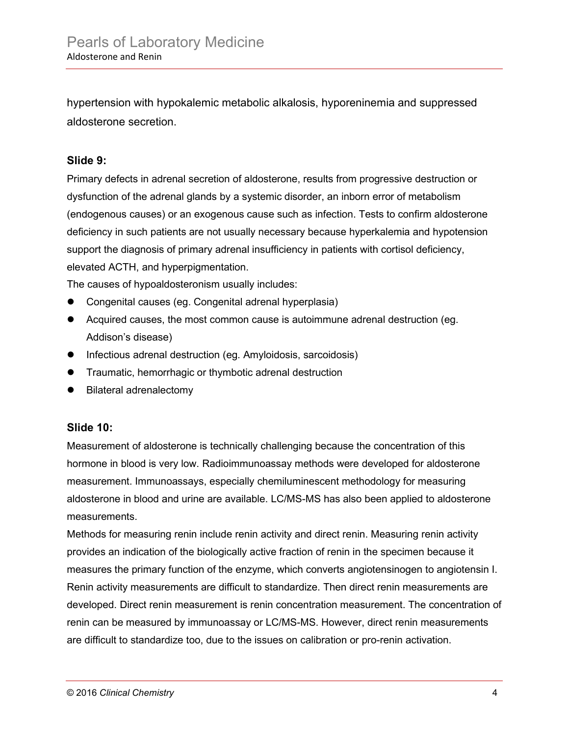hypertension with hypokalemic metabolic alkalosis, hyporeninemia and suppressed aldosterone secretion.

# **Slide 9:**

Primary defects in adrenal secretion of aldosterone, results from progressive destruction or dysfunction of the adrenal glands by a systemic disorder, an inborn error of metabolism (endogenous causes) or an exogenous cause such as infection. Tests to confirm aldosterone deficiency in such patients are not usually necessary because hyperkalemia and hypotension support the diagnosis of primary adrenal insufficiency in patients with cortisol deficiency, elevated ACTH, and hyperpigmentation.

The causes of hypoaldosteronism usually includes:

- Congenital causes (eg. Congenital adrenal hyperplasia)
- Acquired causes, the most common cause is autoimmune adrenal destruction (eg. Addison's disease)
- Infectious adrenal destruction (eg. Amyloidosis, sarcoidosis)
- **•** Traumatic, hemorrhagic or thymbotic adrenal destruction
- Bilateral adrenalectomy

#### **Slide 10:**

Measurement of aldosterone is technically challenging because the concentration of this hormone in blood is very low. Radioimmunoassay methods were developed for aldosterone measurement. Immunoassays, especially chemiluminescent methodology for measuring aldosterone in blood and urine are available. LC/MS-MS has also been applied to aldosterone measurements.

Methods for measuring renin include renin activity and direct renin. Measuring renin activity provides an indication of the biologically active fraction of renin in the specimen because it measures the primary function of the enzyme, which converts angiotensinogen to angiotensin I. Renin activity measurements are difficult to standardize. Then direct renin measurements are developed. Direct renin measurement is renin concentration measurement. The concentration of renin can be measured by immunoassay or LC/MS-MS. However, direct renin measurements are difficult to standardize too, due to the issues on calibration or pro-renin activation.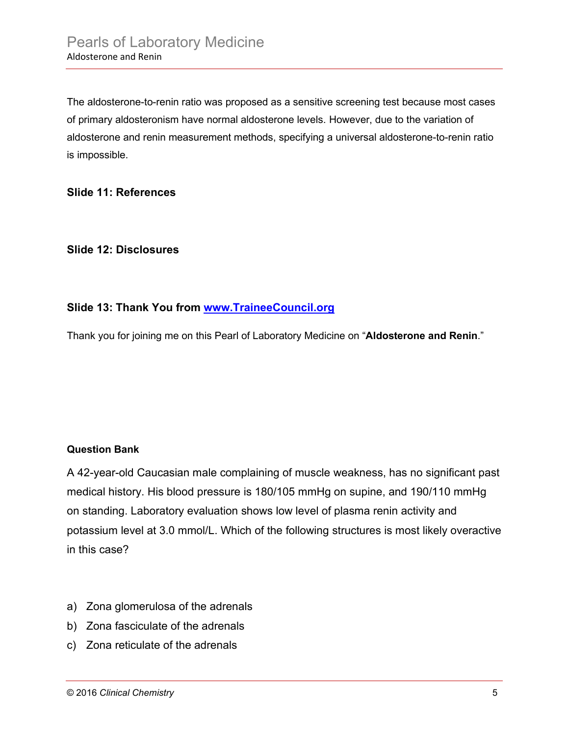The aldosterone-to-renin ratio was proposed as a sensitive screening test because most cases of primary aldosteronism have normal aldosterone levels. However, due to the variation of aldosterone and renin measurement methods, specifying a universal aldosterone-to-renin ratio is impossible.

#### **Slide 11: References**

# **Slide 12: Disclosures**

# **Slide 13: Thank You from [www.TraineeCouncil.org](http://www.traineecouncil.org/)**

Thank you for joining me on this Pearl of Laboratory Medicine on "**Aldosterone and Renin**."

#### **Question Bank**

A 42-year-old Caucasian male complaining of muscle weakness, has no significant past medical history. His blood pressure is 180/105 mmHg on supine, and 190/110 mmHg on standing. Laboratory evaluation shows low level of plasma renin activity and potassium level at 3.0 mmol/L. Which of the following structures is most likely overactive in this case?

- a) Zona glomerulosa of the adrenals
- b) Zona fasciculate of the adrenals
- c) Zona reticulate of the adrenals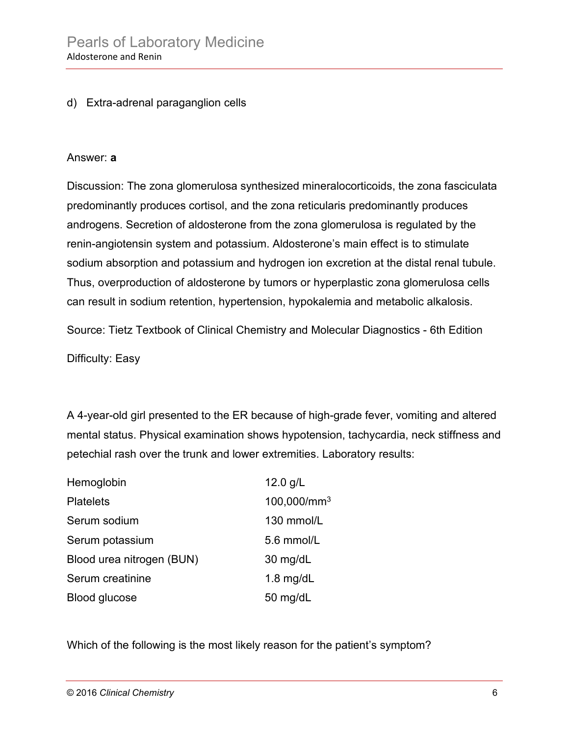# d) Extra-adrenal paraganglion cells

#### Answer: **a**

Discussion: The zona glomerulosa synthesized mineralocorticoids, the zona fasciculata predominantly produces cortisol, and the zona reticularis predominantly produces androgens. Secretion of aldosterone from the zona glomerulosa is regulated by the renin-angiotensin system and potassium. Aldosterone's main effect is to stimulate sodium absorption and potassium and hydrogen ion excretion at the distal renal tubule. Thus, overproduction of aldosterone by tumors or hyperplastic zona glomerulosa cells can result in sodium retention, hypertension, hypokalemia and metabolic alkalosis.

Source: Tietz Textbook of Clinical Chemistry and Molecular Diagnostics - 6th Edition

Difficulty: Easy

A 4-year-old girl presented to the ER because of high-grade fever, vomiting and altered mental status. Physical examination shows hypotension, tachycardia, neck stiffness and petechial rash over the trunk and lower extremities. Laboratory results:

| Hemoglobin                | 12.0 $g/L$              |
|---------------------------|-------------------------|
| <b>Platelets</b>          | 100,000/mm <sup>3</sup> |
| Serum sodium              | 130 mmol/L              |
| Serum potassium           | 5.6 mmol/L              |
| Blood urea nitrogen (BUN) | $30 \text{ mg/dL}$      |
| Serum creatinine          | 1.8 $mg/dL$             |
| <b>Blood glucose</b>      | 50 mg/dL                |

Which of the following is the most likely reason for the patient's symptom?